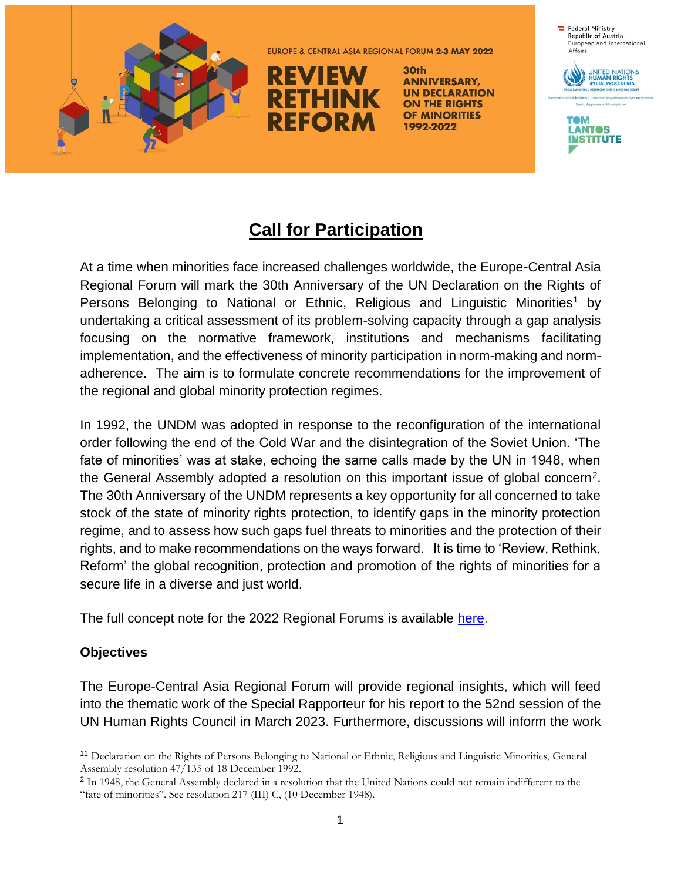

EUROPE & CENTRAL ASIA REGIONAL FORUM 2-3 MAY 2022



30th **ANNIVERSARY, UN DECLARATION ON THE RIGHTS** OF MINORITIES 1992-2022



# **Call for Participation**

At a time when minorities face increased challenges worldwide, the Europe-Central Asia Regional Forum will mark the 30th Anniversary of the UN Declaration on the Rights of Persons Belonging to National or Ethnic, Religious and Linguistic Minorities<sup>1</sup> by undertaking a critical assessment of its problem-solving capacity through a gap analysis focusing on the normative framework, institutions and mechanisms facilitating implementation, and the effectiveness of minority participation in norm-making and normadherence. The aim is to formulate concrete recommendations for the improvement of the regional and global minority protection regimes.

In 1992, the UNDM was adopted in response to the reconfiguration of the international order following the end of the Cold War and the disintegration of the Soviet Union. 'The fate of minorities' was at stake, echoing the same calls made by the UN in 1948, when the General Assembly adopted a resolution on this important issue of global concern<sup>2</sup>. The 30th Anniversary of the UNDM represents a key opportunity for all concerned to take stock of the state of minority rights protection, to identify gaps in the minority protection regime, and to assess how such gaps fuel threats to minorities and the protection of their rights, and to make recommendations on the ways forward. It is time to 'Review, Rethink, Reform' the global recognition, protection and promotion of the rights of minorities for a secure life in a diverse and just world.

The full concept note for the 2022 Regional Forums is available [here.](https://tom-lantos-institue.idloom.events/document/25147/7fplRn4aty.pdf)

#### **Objectives**

 $\overline{a}$ 

The Europe-Central Asia Regional Forum will provide regional insights, which will feed into the thematic work of the Special Rapporteur for his report to the 52nd session of the UN Human Rights Council in March 2023. Furthermore, discussions will inform the work

<sup>11</sup> Declaration on the Rights of Persons Belonging to National or Ethnic, Religious and Linguistic Minorities, General Assembly resolution 47/135 of 18 December 1992.

<sup>&</sup>lt;sup>2</sup> In 1948, the General Assembly declared in a resolution that the United Nations could not remain indifferent to the "fate of minorities". See resolution 217 (III) C, (10 December 1948).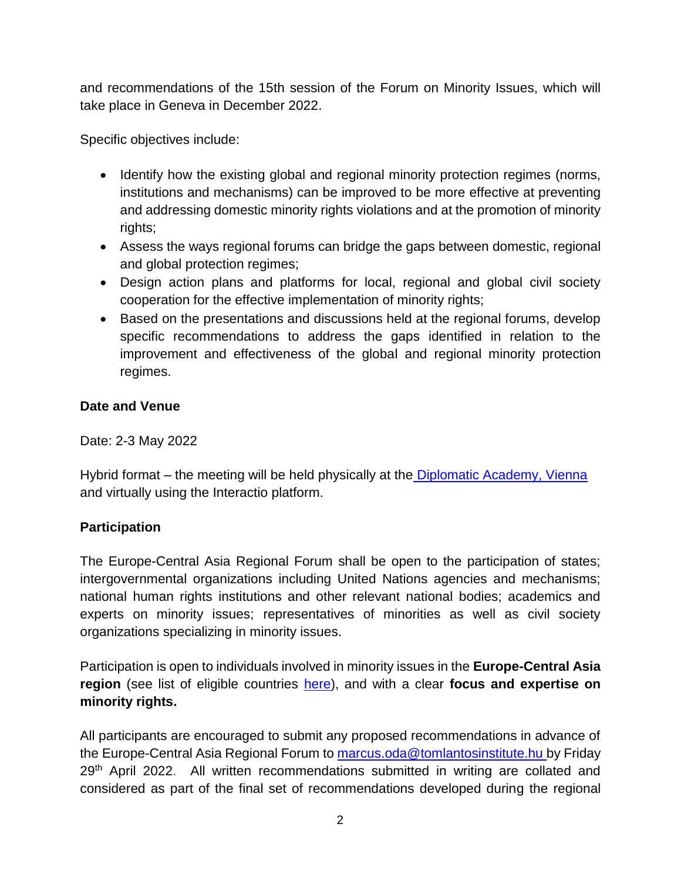and recommendations of the 15th session of the Forum on Minority Issues, which will take place in Geneva in December 2022.

Specific objectives include:

- Identify how the existing global and regional minority protection regimes (norms, institutions and mechanisms) can be improved to be more effective at preventing and addressing domestic minority rights violations and at the promotion of minority rights;
- Assess the ways regional forums can bridge the gaps between domestic, regional and global protection regimes;
- Design action plans and platforms for local, regional and global civil society cooperation for the effective implementation of minority rights;
- Based on the presentations and discussions held at the regional forums, develop specific recommendations to address the gaps identified in relation to the improvement and effectiveness of the global and regional minority protection regimes.

### **Date and Venue**

Date: 2-3 May 2022

Hybrid format – the meeting will be held physically at the [Diplomatic Academy, Vienna](https://www.da-vienna.ac.at/en/Contact) and virtually using the Interactio platform.

# **Participation**

The Europe-Central Asia Regional Forum shall be open to the participation of states; intergovernmental organizations including United Nations agencies and mechanisms; national human rights institutions and other relevant national bodies; academics and experts on minority issues; representatives of minorities as well as civil society organizations specializing in minority issues.

Participation is open to individuals involved in minority issues in the **Europe-Central Asia region** (see list of eligible countries [here\)](https://tom-lantos-institue.idloom.events/document/25147/wCRw4HY716.pdf), and with a clear **focus and expertise on minority rights.** 

All participants are encouraged to submit any proposed recommendations in advance of the Europe-Central Asia Regional Forum to [marcus.oda@tomlantosinstitute.hu](mailto:marcus.oda@tomlantosinstitute.hu) by Friday 29<sup>th</sup> April 2022. All written recommendations submitted in writing are collated and considered as part of the final set of recommendations developed during the regional